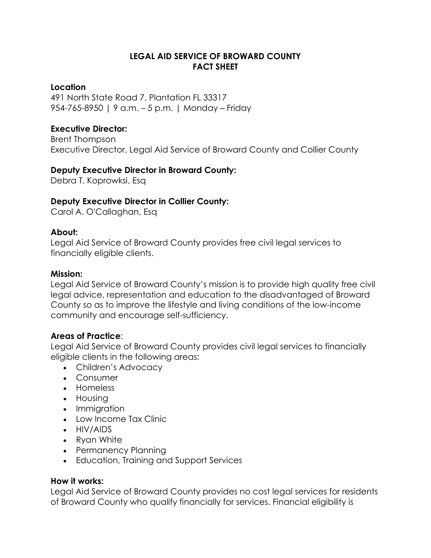# **LEGAL AID SERVICE OF BROWARD COUNTY FACT SHEET**

#### **Location**

491 North State Road 7, Plantation FL 33317 954-765-8950 | 9 a.m. – 5 p.m. | Monday – Friday

## **Executive Director:**

Brent Thompson Executive Director, Legal Aid Service of Broward County and Collier County

## **Deputy Executive Director in Broward County:**

Debra T. Koprowksi, Esq

## **Deputy Executive Director in Collier County:**

Carol A. O'Callaghan, Esq

#### **About:**

Legal Aid Service of Broward County provides free civil legal services to financially eligible clients.

#### **Mission:**

Legal Aid Service of Broward County's mission is to provide high quality free civil legal advice, representation and education to the disadvantaged of Broward County so as to improve the lifestyle and living conditions of the low-income community and encourage self-sufficiency.

### **Areas of Practice**:

Legal Aid Service of Broward County provides civil legal services to financially eligible clients in the following areas:

- Children's Advocacy
- Consumer
- Homeless
- Housing
- Immiaration
- Low Income Tax Clinic
- HIV/AIDS
- Ryan White
- Permanency Planning
- Education, Training and Support Services

## **How it works:**

Legal Aid Service of Broward County provides no cost legal services for residents of Broward County who qualify financially for services. Financial eligibility is